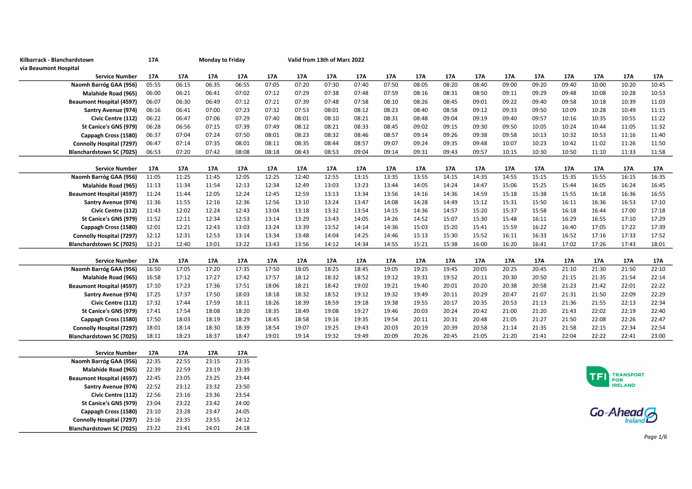| Kilbarrack - Blanchardstown     | 17A   | Monday to Friday |       |       |       |       | Valid from 13th of Marc 2022 |       |       |       |       |       |       |       |       |       |                              |       |
|---------------------------------|-------|------------------|-------|-------|-------|-------|------------------------------|-------|-------|-------|-------|-------|-------|-------|-------|-------|------------------------------|-------|
| via Beaumont Hospital           |       |                  |       |       |       |       |                              |       |       |       |       |       |       |       |       |       |                              |       |
| <b>Service Number</b>           | 17A   | 17A              | 17A   | 17A   | 17A   | 17A   | 17A                          | 17A   | 17A   | 17A   | 17A   | 17A   | 17A   | 17A   | 17A   | 17A   | 17A                          | 17A   |
| Naomh Barróg GAA (956)          | 05:55 | 06:15            | 06:35 | 06:55 | 07:05 | 07:20 | 07:30                        | 07:40 | 07:50 | 08:05 | 08:20 | 08:40 | 09:00 | 09:20 | 09:40 | 10:00 | 10:20                        | 10:45 |
| Malahide Road (965)             | 06:00 | 06:21            | 06:41 | 07:02 | 07:12 | 07:29 | 07:38                        | 07:48 | 07:59 | 08:16 | 08:31 | 08:50 | 09:11 | 09:29 | 09:48 | 10:08 | 10:28                        | 10:53 |
| <b>Beaumont Hospital (4597)</b> | 06:07 | 06:30            | 06:49 | 07:12 | 07:21 | 07:39 | 07:48                        | 07:58 | 08:10 | 08:26 | 08:45 | 09:01 | 09:22 | 09:40 | 09:58 | 10:18 | 10:39                        | 11:03 |
| Santry Avenue (974)             | 06:16 | 06:41            | 07:00 | 07:23 | 07:32 | 07:53 | 08:01                        | 08:12 | 08:23 | 08:40 | 08:58 | 09:12 | 09:33 | 09:50 | 10:09 | 10:28 | 10:49                        | 11:15 |
| Civic Centre (112)              | 06:22 | 06:47            | 07:06 | 07:29 | 07:40 | 08:01 | 08:10                        | 08:21 | 08:31 | 08:48 | 09:04 | 09:19 | 09:40 | 09:57 | 10:16 | 10:35 | 10:55                        | 11:22 |
| St Canice's GNS (979)           | 06:28 | 06:56            | 07:15 | 07:39 | 07:49 | 08:12 | 08:21                        | 08:33 | 08:45 | 09:02 | 09:15 | 09:30 | 09:50 | 10:05 | 10:24 | 10:44 | 11:05                        | 11:32 |
| Cappagh Cross (1580)            | 06:37 | 07:04            | 07:24 | 07:50 | 08:01 | 08:23 | 08:32                        | 08:46 | 08:57 | 09:14 | 09:26 | 09:38 | 09:58 | 10:13 | 10:32 | 10:53 | 11:16                        | 11:40 |
| Connolly Hospital (7297)        | 06:47 | 07:14            | 07:35 | 08:01 | 08:11 | 08:35 | 08:44                        | 08:57 | 09:07 | 09:24 | 09:35 | 09:48 | 10:07 | 10:23 | 10:42 | 11:02 | 11:26                        | 11:50 |
| Blanchardstown SC (7025)        | 06:53 | 07:20            | 07:42 | 08:08 | 08:18 | 08:43 | 08:53                        | 09:04 | 09:14 | 09:31 | 09:43 | 09:57 | 10:15 | 10:30 | 10:50 | 11:10 | 11:33                        | 11:58 |
|                                 |       |                  |       |       |       |       |                              |       |       |       |       |       |       |       |       |       |                              |       |
| <b>Service Number</b>           | 17A   | 17A              | 17A   | 17A   | 17A   | 17A   | 17A                          | 17A   | 17A   | 17A   | 17A   | 17A   | 17A   | 17A   | 17A   | 17A   | 17A                          | 17A   |
| Naomh Barróg GAA (956)          | 11:05 | 11:25            | 11:45 | 12:05 | 12:25 | 12:40 | 12:55                        | 13:15 | 13:35 | 13:55 | 14:15 | 14:35 | 14:55 | 15:15 | 15:35 | 15:55 | 16:15                        | 16:35 |
| Malahide Road (965)             | 11:13 | 11:34            | 11:54 | 12:13 | 12:34 | 12:49 | 13:03                        | 13:23 | 13:44 | 14:05 | 14:24 | 14:47 | 15:06 | 15:25 | 15:44 | 16:05 | 16:24                        | 16:45 |
| <b>Beaumont Hospital (4597)</b> | 11:24 | 11:44            | 12:05 | 12:24 | 12:45 | 12:59 | 13:13                        | 13:34 | 13:56 | 14:16 | 14:36 | 14:59 | 15:18 | 15:38 | 15:55 | 16:18 | 16:36                        | 16:55 |
| Santry Avenue (974)             | 11:36 | 11:55            | 12:16 | 12:36 | 12:56 | 13:10 | 13:24                        | 13:47 | 14:08 | 14:28 | 14:49 | 15:12 | 15:31 | 15:50 | 16:11 | 16:36 | 16:53                        | 17:10 |
| Civic Centre (112)              | 11:43 | 12:02            | 12:24 | 12:43 | 13:04 | 13:18 | 13:32                        | 13:54 | 14:15 | 14:36 | 14:57 | 15:20 | 15:37 | 15:58 | 16:18 | 16:44 | 17:00                        | 17:18 |
| St Canice's GNS (979)           | 11:52 | 12:11            | 12:34 | 12:53 | 13:14 | 13:29 | 13:43                        | 14:05 | 14:26 | 14:52 | 15:07 | 15:30 | 15:48 | 16:11 | 16:29 | 16:55 | 17:10                        | 17:29 |
| Cappagh Cross (1580)            | 12:01 | 12:21            | 12:43 | 13:03 | 13:24 | 13:39 | 13:52                        | 14:14 | 14:36 | 15:03 | 15:20 | 15:41 | 15:59 | 16:22 | 16:40 | 17:05 | 17:22                        | 17:39 |
| Connolly Hospital (7297)        | 12:12 | 12:31            | 12:53 | 13:14 | 13:34 | 13:48 | 14:04                        | 14:25 | 14:46 | 15:13 | 15:30 | 15:52 | 16:11 | 16:33 | 16:52 | 17:16 | 17:33                        | 17:52 |
| <b>Blanchardstown SC (7025)</b> | 12:21 | 12:40            | 13:01 | 13:22 | 13:43 | 13:56 | 14:12                        | 14:34 | 14:55 | 15:21 | 15:38 | 16:00 | 16:20 | 16:41 | 17:02 | 17:26 | 17:43                        | 18:01 |
|                                 |       |                  |       |       |       |       |                              |       |       |       |       |       |       |       |       |       |                              |       |
| <b>Service Number</b>           | 17A   | 17A              | 17A   | 17A   | 17A   | 17A   | 17A                          | 17A   | 17A   | 17A   | 17A   | 17A   | 17A   | 17A   | 17A   | 17A   | 17A                          | 17A   |
| Naomh Barróg GAA (956)          | 16:50 | 17:05            | 17:20 | 17:35 | 17:50 | 18:05 | 18:25                        | 18:45 | 19:05 | 19:25 | 19:45 | 20:05 | 20:25 | 20:45 | 21:10 | 21:30 | 21:50                        | 22:10 |
| Malahide Road (965)             | 16:58 | 17:12            | 17:27 | 17:42 | 17:57 | 18:12 | 18:32                        | 18:52 | 19:12 | 19:31 | 19:52 | 20:11 | 20:30 | 20:50 | 21:15 | 21:35 | 21:54                        | 22:14 |
| <b>Beaumont Hospital (4597)</b> | 17:10 | 17:23            | 17:36 | 17:51 | 18:06 | 18:21 | 18:42                        | 19:02 | 19:21 | 19:40 | 20:01 | 20:20 | 20:38 | 20:58 | 21:23 | 21:42 | 22:01                        | 22:22 |
| Santry Avenue (974)             | 17:25 | 17:37            | 17:50 | 18:03 | 18:18 | 18:32 | 18:52                        | 19:12 | 19:32 | 19:49 | 20:11 | 20:29 | 20:47 | 21:07 | 21:31 | 21:50 | 22:09                        | 22:29 |
| Civic Centre (112)              | 17:32 | 17:44            | 17:59 | 18:11 | 18:26 | 18:39 | 18:59                        | 19:18 | 19:38 | 19:55 | 20:17 | 20:35 | 20:53 | 21:13 | 21:36 | 21:55 | 22:13                        | 22:34 |
| St Canice's GNS (979)           | 17:41 | 17:54            | 18:08 | 18:20 | 18:35 | 18:49 | 19:08                        | 19:27 | 19:46 | 20:03 | 20:24 | 20:42 | 21:00 | 21:20 | 21:43 | 22:02 | 22:19                        | 22:40 |
| Cappagh Cross (1580)            | 17:50 | 18:03            | 18:19 | 18:29 | 18:45 | 18:58 | 19:16                        | 19:35 | 19:54 | 20:11 | 20:31 | 20:48 | 21:05 | 21:27 | 21:50 | 22:08 | 22:26                        | 22:47 |
| Connolly Hospital (7297)        | 18:01 | 18:14            | 18:30 | 18:39 | 18:54 | 19:07 | 19:25                        | 19:43 | 20:03 | 20:19 | 20:39 | 20:58 | 21:14 | 21:35 | 21:58 | 22:15 | 22:34                        | 22:54 |
| Blanchardstown SC (7025)        | 18:11 | 18:23            | 18:37 | 18:47 | 19:01 | 19:14 | 19:32                        | 19:49 | 20:09 | 20:26 | 20:45 | 21:05 | 21:20 | 21:41 | 22:04 | 22:22 | 22:41                        | 23:00 |
|                                 |       |                  |       |       |       |       |                              |       |       |       |       |       |       |       |       |       |                              |       |
| <b>Service Number</b>           | 17A   | 17A              | 17A   | 17A   |       |       |                              |       |       |       |       |       |       |       |       |       |                              |       |
| Naomh Barróg GAA (956)          | 22:35 | 22:55            | 23:15 | 23:35 |       |       |                              |       |       |       |       |       |       |       |       |       |                              |       |
| Malahide Road (965)             | 22:39 | 22:59            | 23:19 | 23:39 |       |       |                              |       |       |       |       |       |       |       |       |       | <b>TRANSPORT</b>             |       |
| <b>Beaumont Hospital (4597)</b> | 22:45 | 23:05            | 23:25 | 23:44 |       |       |                              |       |       |       |       |       |       |       |       |       | <b>FOR</b><br><b>IRELAND</b> |       |
| Santry Avenue (974)             | 22:52 | 23:12            | 23:32 | 23:50 |       |       |                              |       |       |       |       |       |       |       |       |       |                              |       |
| Civic Centre (112)              | 22:56 | 23:16            | 23:36 | 23:54 |       |       |                              |       |       |       |       |       |       |       |       |       |                              |       |
| St Canice's GNS (979)           | 23:04 | 23:22            | 23:42 | 24:00 |       |       |                              |       |       |       |       |       |       |       |       |       |                              |       |
| Cappagh Cross (1580)            | 23:10 | 23:28            | 23:47 | 24:05 |       |       |                              |       |       |       |       |       |       |       |       |       | Go-Ahead G                   |       |
| <b>Connolly Hospital (7297)</b> | 23:16 | 23:35            | 23:55 | 24:12 |       |       |                              |       |       |       |       |       |       |       |       |       |                              |       |

**Connolly Hospital (7297)** 23:16<br>**Blanchardstown SC (7025)** 23:22

Blanchardstown SC (7025) 23:22 23:41 24:01 24:18



Page 1/6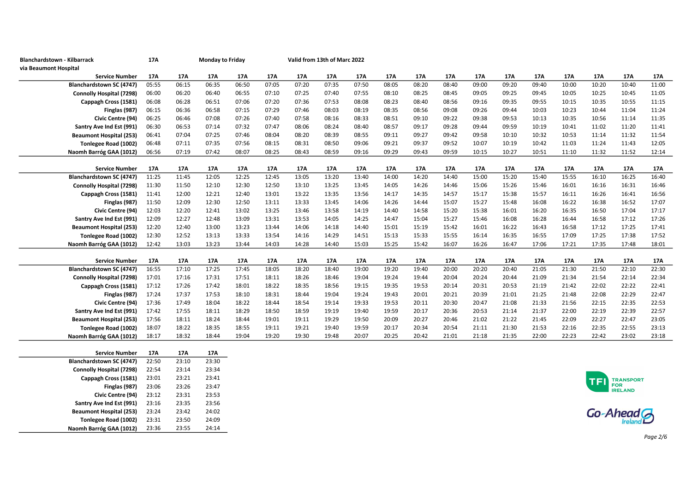| Blanchardstown - Kilbarrack                          | 17A            | <b>Monday to Friday</b> |                |       |       |       | Valid from 13th of Marc 2022 |       |       |       |       |       |       |       |       |       |       |       |
|------------------------------------------------------|----------------|-------------------------|----------------|-------|-------|-------|------------------------------|-------|-------|-------|-------|-------|-------|-------|-------|-------|-------|-------|
| via Beaumont Hospital                                |                |                         |                |       |       |       |                              |       |       |       |       |       |       |       |       |       |       |       |
| <b>Service Number</b>                                | 17A            | 17A                     | 17A            | 17A   | 17A   | 17A   | 17A                          | 17A   | 17A   | 17A   | 17A   | 17A   | 17A   | 17A   | 17A   | 17A   | 17A   | 17A   |
| <b>Blanchardstown SC (4747)</b>                      | 05:55          | 06:15                   | 06:35          | 06:50 | 07:05 | 07:20 | 07:35                        | 07:50 | 08:05 | 08:20 | 08:40 | 09:00 | 09:20 | 09:40 | 10:00 | 10:20 | 10:40 | 11:00 |
| <b>Connolly Hospital (7298)</b>                      | 06:00          | 06:20                   | 06:40          | 06:55 | 07:10 | 07:25 | 07:40                        | 07:55 | 08:10 | 08:25 | 08:45 | 09:05 | 09:25 | 09:45 | 10:05 | 10:25 | 10:45 | 11:05 |
| Cappagh Cross (1581)                                 | 06:08          | 06:28                   | 06:51          | 07:06 | 07:20 | 07:36 | 07:53                        | 08:08 | 08:23 | 08:40 | 08:56 | 09:16 | 09:35 | 09:55 | 10:15 | 10:35 | 10:55 | 11:15 |
| Finglas (987)                                        | 06:15          | 06:36                   | 06:58          | 07:15 | 07:29 | 07:46 | 08:03                        | 08:19 | 08:35 | 08:56 | 09:08 | 09:26 | 09:44 | 10:03 | 10:23 | 10:44 | 11:04 | 11:24 |
| Civic Centre (94)                                    | 06:25          | 06:46                   | 07:08          | 07:26 | 07:40 | 07:58 | 08:16                        | 08:33 | 08:51 | 09:10 | 09:22 | 09:38 | 09:53 | 10:13 | 10:35 | 10:56 | 11:14 | 11:35 |
| Santry Ave Ind Est (991)                             | 06:30          | 06:53                   | 07:14          | 07:32 | 07:47 | 08:06 | 08:24                        | 08:40 | 08:57 | 09:17 | 09:28 | 09:44 | 09:59 | 10:19 | 10:41 | 11:02 | 11:20 | 11:41 |
| <b>Beaumont Hospital (253)</b>                       | 06:41          | 07:04                   | 07:25          | 07:46 | 08:04 | 08:20 | 08:39                        | 08:55 | 09:11 | 09:27 | 09:42 | 09:58 | 10:10 | 10:32 | 10:53 | 11:14 | 11:32 | 11:54 |
| Tonlegee Road (1002)                                 | 06:48          | 07:11                   | 07:35          | 07:56 | 08:15 | 08:31 | 08:50                        | 09:06 | 09:21 | 09:37 | 09:52 | 10:07 | 10:19 | 10:42 | 11:03 | 11:24 | 11:43 | 12:05 |
| Naomh Barróg GAA (1012)                              | 06:56          | 07:19                   | 07:42          | 08:07 | 08:25 | 08:43 | 08:59                        | 09:16 | 09:29 | 09:43 | 09:59 | 10:15 | 10:27 | 10:51 | 11:10 | 11:32 | 11:52 | 12:14 |
|                                                      |                |                         |                |       |       |       |                              |       |       |       |       |       |       |       |       |       |       |       |
| <b>Service Number</b>                                | 17A            | 17A                     | 17A            | 17A   | 17A   | 17A   | 17A                          | 17A   | 17A   | 17A   | 17A   | 17A   | 17A   | 17A   | 17A   | 17A   | 17A   | 17A   |
| Blanchardstown SC (4747)                             | 11:25          | 11:45                   | 12:05          | 12:25 | 12:45 | 13:05 | 13:20                        | 13:40 | 14:00 | 14:20 | 14:40 | 15:00 | 15:20 | 15:40 | 15:55 | 16:10 | 16:25 | 16:40 |
| <b>Connolly Hospital (7298)</b>                      | 11:30          | 11:50                   | 12:10          | 12:30 | 12:50 | 13:10 | 13:25                        | 13:45 | 14:05 | 14:26 | 14:46 | 15:06 | 15:26 | 15:46 | 16:01 | 16:16 | 16:31 | 16:46 |
| Cappagh Cross (1581)                                 | 11:41          | 12:00                   | 12:21          | 12:40 | 13:01 | 13:22 | 13:35                        | 13:56 | 14:17 | 14:35 | 14:57 | 15:17 | 15:38 | 15:57 | 16:11 | 16:26 | 16:41 | 16:56 |
| Finglas (987)                                        | 11:50          | 12:09                   | 12:30          | 12:50 | 13:11 | 13:33 | 13:45                        | 14:06 | 14:26 | 14:44 | 15:07 | 15:27 | 15:48 | 16:08 | 16:22 | 16:38 | 16:52 | 17:07 |
| Civic Centre (94)                                    | 12:03          | 12:20                   | 12:41          | 13:02 | 13:25 | 13:46 | 13:58                        | 14:19 | 14:40 | 14:58 | 15:20 | 15:38 | 16:01 | 16:20 | 16:35 | 16:50 | 17:04 | 17:17 |
| Santry Ave Ind Est (991)                             | 12:09          | 12:27                   | 12:48          | 13:09 | 13:31 | 13:53 | 14:05                        | 14:25 | 14:47 | 15:04 | 15:27 | 15:46 | 16:08 | 16:28 | 16:44 | 16:58 | 17:12 | 17:26 |
| <b>Beaumont Hospital (253)</b>                       | 12:20          | 12:40                   | 13:00          | 13:23 | 13:44 | 14:06 | 14:18                        | 14:40 | 15:01 | 15:19 | 15:42 | 16:01 | 16:22 | 16:43 | 16:58 | 17:12 | 17:25 | 17:41 |
| Tonlegee Road (1002)                                 | 12:30          | 12:52                   | 13:13          | 13:33 | 13:54 | 14:16 | 14:29                        | 14:51 | 15:13 | 15:33 | 15:55 | 16:14 | 16:35 | 16:55 | 17:09 | 17:25 | 17:38 | 17:52 |
| Naomh Barróg GAA (1012)                              | 12:42          | 13:03                   | 13:23          | 13:44 | 14:03 | 14:28 | 14:40                        | 15:03 | 15:25 | 15:42 | 16:07 | 16:26 | 16:47 | 17:06 | 17:21 | 17:35 | 17:48 | 18:01 |
|                                                      |                |                         |                |       |       |       |                              |       |       |       |       |       |       |       |       |       |       |       |
| <b>Service Number</b>                                | 17A            | 17A                     | 17A            | 17A   | 17A   | 17A   | 17A                          | 17A   | 17A   | 17A   | 17A   | 17A   | 17A   | 17A   | 17A   | 17A   | 17A   | 17A   |
| Blanchardstown SC (4747)                             | 16:55          | 17:10                   | 17:25          | 17:45 | 18:05 | 18:20 | 18:40                        | 19:00 | 19:20 | 19:40 | 20:00 | 20:20 | 20:40 | 21:05 | 21:30 | 21:50 | 22:10 | 22:30 |
| <b>Connolly Hospital (7298)</b>                      | 17:01          | 17:16                   | 17:31          | 17:51 | 18:11 | 18:26 | 18:46                        | 19:04 | 19:24 | 19:44 | 20:04 | 20:24 | 20:44 | 21:09 | 21:34 | 21:54 | 22:14 | 22:34 |
| Cappagh Cross (1581)                                 | 17:12          | 17:26                   | 17:42          | 18:01 | 18:22 | 18:35 | 18:56                        | 19:15 | 19:35 | 19:53 | 20:14 | 20:31 | 20:53 | 21:19 | 21:42 | 22:02 | 22:22 | 22:41 |
| Finglas (987)                                        | 17:24          | 17:37                   | 17:53          | 18:10 | 18:31 | 18:44 | 19:04                        | 19:24 | 19:43 | 20:01 | 20:21 | 20:39 | 21:01 | 21:25 | 21:48 | 22:08 | 22:29 | 22:47 |
| Civic Centre (94)                                    | 17:36          | 17:49                   | 18:04          | 18:22 | 18:44 | 18:54 | 19:14                        | 19:33 | 19:53 | 20:11 | 20:30 | 20:47 | 21:08 | 21:33 | 21:56 | 22:15 | 22:35 | 22:53 |
| Santry Ave Ind Est (991)                             | 17:42          | 17:55                   | 18:11          | 18:29 | 18:50 | 18:59 | 19:19                        | 19:40 | 19:59 | 20:17 | 20:36 | 20:53 | 21:14 | 21:37 | 22:00 | 22:19 | 22:39 | 22:57 |
| <b>Beaumont Hospital (253)</b>                       | 17:56          | 18:11                   | 18:24          | 18:44 | 19:01 | 19:11 | 19:29                        | 19:50 | 20:09 | 20:27 | 20:46 | 21:02 | 21:22 | 21:45 | 22:09 | 22:27 | 22:47 | 23:05 |
| Tonlegee Road (1002)                                 | 18:07          | 18:22                   | 18:35          | 18:55 | 19:11 | 19:21 | 19:40                        | 19:59 | 20:17 | 20:34 | 20:54 | 21:11 | 21:30 | 21:53 | 22:16 | 22:35 | 22:55 | 23:13 |
| Naomh Barróg GAA (1012)                              | 18:17          | 18:32                   | 18:44          | 19:04 | 19:20 | 19:30 | 19:48                        | 20:07 | 20:25 | 20:42 | 21:01 | 21:18 | 21:35 | 22:00 | 22:23 | 22:42 | 23:02 | 23:18 |
|                                                      |                |                         |                |       |       |       |                              |       |       |       |       |       |       |       |       |       |       |       |
| <b>Service Number</b>                                | 17A            | 17A                     | 17A            |       |       |       |                              |       |       |       |       |       |       |       |       |       |       |       |
| Blanchardstown SC (4747)<br>Connolly Hospital (7200) | 22:50<br>22.54 | 23:10<br>72.14          | 23:30<br>72.2A |       |       |       |                              |       |       |       |       |       |       |       |       |       |       |       |
|                                                      |                |                         |                |       |       |       |                              |       |       |       |       |       |       |       |       |       |       |       |





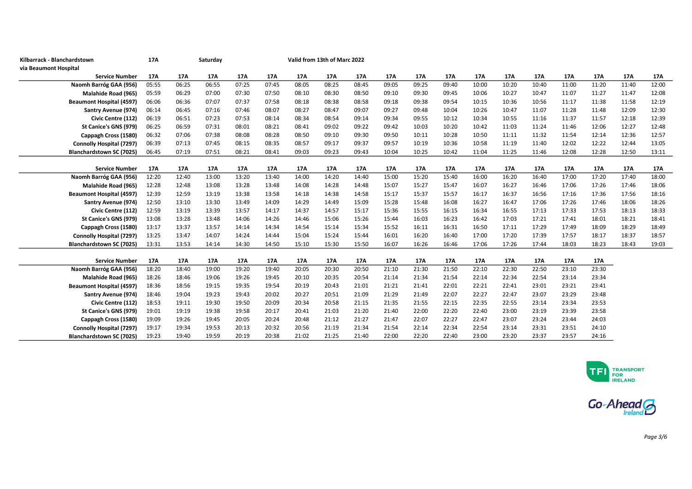| Kilbarrack - Blanchardstown     | 17A   |       | Saturday |       |       | Valid from 13th of Marc 2022 |       |       |       |       |       |       |       |       |       |       |       |       |
|---------------------------------|-------|-------|----------|-------|-------|------------------------------|-------|-------|-------|-------|-------|-------|-------|-------|-------|-------|-------|-------|
| via Beaumont Hospital           |       |       |          |       |       |                              |       |       |       |       |       |       |       |       |       |       |       |       |
| <b>Service Number</b>           | 17A   | 17A   | 17A      | 17A   | 17A   | 17A                          | 17A   | 17A   | 17A   | 17A   | 17A   | 17A   | 17A   | 17A   | 17A   | 17A   | 17A   | 17A   |
| Naomh Barróg GAA (956)          | 05:55 | 06:25 | 06:55    | 07:25 | 07:45 | 08:05                        | 08:25 | 08:45 | 09:05 | 09:25 | 09:40 | 10:00 | 10:20 | 10:40 | 11:00 | 11:20 | 11:40 | 12:00 |
| Malahide Road (965)             | 05:59 | 06:29 | 07:00    | 07:30 | 07:50 | 08:10                        | 08:30 | 08:50 | 09:10 | 09:30 | 09:45 | 10:06 | 10:27 | 10:47 | 11:07 | 11:27 | 11:47 | 12:08 |
| <b>Beaumont Hospital (4597)</b> | 06:06 | 06:36 | 07:07    | 07:37 | 07:58 | 08:18                        | 08:38 | 08:58 | 09:18 | 09:38 | 09:54 | 10:15 | 10:36 | 10:56 | 11:17 | 11:38 | 11:58 | 12:19 |
| Santry Avenue (974)             | 06:14 | 06:45 | 07:16    | 07:46 | 08:07 | 08:27                        | 08:47 | 09:07 | 09:27 | 09:48 | 10:04 | 10:26 | 10:47 | 11:07 | 11:28 | 11:48 | 12:09 | 12:30 |
| Civic Centre (112)              | 06:19 | 06:51 | 07:23    | 07:53 | 08:14 | 08:34                        | 08:54 | 09:14 | 09:34 | 09:55 | 10:12 | 10:34 | 10:55 | 11:16 | 11:37 | 11:57 | 12:18 | 12:39 |
| St Canice's GNS (979)           | 06:25 | 06:59 | 07:31    | 08:01 | 08:21 | 08:41                        | 09:02 | 09:22 | 09:42 | 10:03 | 10:20 | 10:42 | 11:03 | 11:24 | 11:46 | 12:06 | 12:27 | 12:48 |
| Cappagh Cross (1580)            | 06:32 | 07:06 | 07:38    | 08:08 | 08:28 | 08:50                        | 09:10 | 09:30 | 09:50 | 10:11 | 10:28 | 10:50 | 11:11 | 11:32 | 11:54 | 12:14 | 12:36 | 12:57 |
| <b>Connolly Hospital (7297)</b> | 06:39 | 07:13 | 07:45    | 08:15 | 08:35 | 08:57                        | 09:17 | 09:37 | 09:57 | 10:19 | 10:36 | 10:58 | 11:19 | 11:40 | 12:02 | 12:22 | 12:44 | 13:05 |
| Blanchardstown SC (7025)        | 06:45 | 07:19 | 07:51    | 08:21 | 08:41 | 09:03                        | 09:23 | 09:43 | 10:04 | 10:25 | 10:42 | 11:04 | 11:25 | 11:46 | 12:08 | 12:28 | 12:50 | 13:11 |
|                                 |       |       |          |       |       |                              |       |       |       |       |       |       |       |       |       |       |       |       |
| <b>Service Number</b>           | 17A   | 17A   | 17A      | 17A   | 17A   | 17A                          | 17A   | 17A   | 17A   | 17A   | 17A   | 17A   | 17A   | 17A   | 17A   | 17A   | 17A   | 17A   |
| Naomh Barróg GAA (956)          | 12:20 | 12:40 | 13:00    | 13:20 | 13:40 | 14:00                        | 14:20 | 14:40 | 15:00 | 15:20 | 15:40 | 16:00 | 16:20 | 16:40 | 17:00 | 17:20 | 17:40 | 18:00 |
| Malahide Road (965)             | 12:28 | 12:48 | 13:08    | 13:28 | 13:48 | 14:08                        | 14:28 | 14:48 | 15:07 | 15:27 | 15:47 | 16:07 | 16:27 | 16:46 | 17:06 | 17:26 | 17:46 | 18:06 |
| <b>Beaumont Hospital (4597)</b> | 12:39 | 12:59 | 13:19    | 13:38 | 13:58 | 14:18                        | 14:38 | 14:58 | 15:17 | 15:37 | 15:57 | 16:17 | 16:37 | 16:56 | 17:16 | 17:36 | 17:56 | 18:16 |
| Santry Avenue (974)             | 12:50 | 13:10 | 13:30    | 13:49 | 14:09 | 14:29                        | 14:49 | 15:09 | 15:28 | 15:48 | 16:08 | 16:27 | 16:47 | 17:06 | 17:26 | 17:46 | 18:06 | 18:26 |
| Civic Centre (112)              | 12:59 | 13:19 | 13:39    | 13:57 | 14:17 | 14:37                        | 14:57 | 15:17 | 15:36 | 15:55 | 16:15 | 16:34 | 16:55 | 17:13 | 17:33 | 17:53 | 18:13 | 18:33 |
| St Canice's GNS (979)           | 13:08 | 13:28 | 13:48    | 14:06 | 14:26 | 14:46                        | 15:06 | 15:26 | 15:44 | 16:03 | 16:23 | 16:42 | 17:03 | 17:21 | 17:41 | 18:01 | 18:21 | 18:41 |
| Cappagh Cross (1580)            | 13:17 | 13:37 | 13:57    | 14:14 | 14:34 | 14:54                        | 15:14 | 15:34 | 15:52 | 16:11 | 16:31 | 16:50 | 17:11 | 17:29 | 17:49 | 18:09 | 18:29 | 18:49 |
| Connolly Hospital (7297)        | 13:25 | 13:47 | 14:07    | 14:24 | 14:44 | 15:04                        | 15:24 | 15:44 | 16:01 | 16:20 | 16:40 | 17:00 | 17:20 | 17:39 | 17:57 | 18:17 | 18:37 | 18:57 |
| Blanchardstown SC (7025)        | 13:31 | 13:53 | 14:14    | 14:30 | 14:50 | 15:10                        | 15:30 | 15:50 | 16:07 | 16:26 | 16:46 | 17:06 | 17:26 | 17:44 | 18:03 | 18:23 | 18:43 | 19:03 |
|                                 |       |       |          |       |       |                              |       |       |       |       |       |       |       |       |       |       |       |       |
| <b>Service Number</b>           | 17A   | 17A   | 17A      | 17A   | 17A   | 17A                          | 17A   | 17A   | 17A   | 17A   | 17A   | 17A   | 17A   | 17A   | 17A   | 17A   |       |       |
| Naomh Barróg GAA (956)          | 18:20 | 18:40 | 19:00    | 19:20 | 19:40 | 20:05                        | 20:30 | 20:50 | 21:10 | 21:30 | 21:50 | 22:10 | 22:30 | 22:50 | 23:10 | 23:30 |       |       |
| Malahide Road (965)             | 18:26 | 18:46 | 19:06    | 19:26 | 19:45 | 20:10                        | 20:35 | 20:54 | 21:14 | 21:34 | 21:54 | 22:14 | 22:34 | 22:54 | 23:14 | 23:34 |       |       |
| <b>Beaumont Hospital (4597)</b> | 18:36 | 18:56 | 19:15    | 19:35 | 19:54 | 20:19                        | 20:43 | 21:01 | 21:21 | 21:41 | 22:01 | 22:21 | 22:41 | 23:01 | 23:21 | 23:41 |       |       |
| <b>Santry Avenue (974)</b>      | 18:46 | 19:04 | 19:23    | 19:43 | 20:02 | 20:27                        | 20:51 | 21:09 | 21:29 | 21:49 | 22:07 | 22:27 | 22:47 | 23:07 | 23:29 | 23:48 |       |       |
| Civic Centre (112)              | 18:53 | 19:11 | 19:30    | 19:50 | 20:09 | 20:34                        | 20:58 | 21:15 | 21:35 | 21:55 | 22:15 | 22:35 | 22:55 | 23:14 | 23:34 | 23:53 |       |       |
| St Canice's GNS (979)           | 19:01 | 19:19 | 19:38    | 19:58 | 20:17 | 20:41                        | 21:03 | 21:20 | 21:40 | 22:00 | 22:20 | 22:40 | 23:00 | 23:19 | 23:39 | 23:58 |       |       |
| Cappagh Cross (1580)            | 19:09 | 19:26 | 19:45    | 20:05 | 20:24 | 20:48                        | 21:12 | 21:27 | 21:47 | 22:07 | 22:27 | 22:47 | 23:07 | 23:24 | 23:44 | 24:03 |       |       |
| <b>Connolly Hospital (7297)</b> | 19:17 | 19:34 | 19:53    | 20:13 | 20:32 | 20:56                        | 21:19 | 21:34 | 21:54 | 22:14 | 22:34 | 22:54 | 23:14 | 23:31 | 23:51 | 24:10 |       |       |
| Blanchardstown SC (7025)        | 19:23 | 19:40 | 19:59    | 20:19 | 20:38 | 21:02                        | 21:25 | 21:40 | 22:00 | 22:20 | 22:40 | 23:00 | 23:20 | 23:37 | 23:57 | 24:16 |       |       |



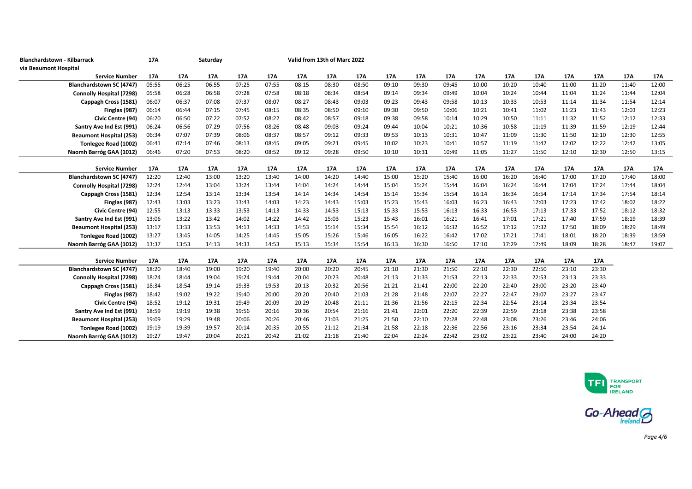| Blanchardstown - Kilbarrack     | 17A   |       | Saturday |       |       |       | Valid from 13th of Marc 2022 |       |       |       |       |       |       |       |       |       |       |       |
|---------------------------------|-------|-------|----------|-------|-------|-------|------------------------------|-------|-------|-------|-------|-------|-------|-------|-------|-------|-------|-------|
| via Beaumont Hospital           |       |       |          |       |       |       |                              |       |       |       |       |       |       |       |       |       |       |       |
| <b>Service Number</b>           | 17A   | 17A   | 17A      | 17A   | 17A   | 17A   | 17A                          | 17A   | 17A   | 17A   | 17A   | 17A   | 17A   | 17A   | 17A   | 17A   | 17A   | 17A   |
| <b>Blanchardstown SC (4747)</b> | 05:55 | 06:25 | 06:55    | 07:25 | 07:55 | 08:15 | 08:30                        | 08:50 | 09:10 | 09:30 | 09:45 | 10:00 | 10:20 | 10:40 | 11:00 | 11:20 | 11:40 | 12:00 |
| <b>Connolly Hospital (7298)</b> | 05:58 | 06:28 | 06:58    | 07:28 | 07:58 | 08:18 | 08:34                        | 08:54 | 09:14 | 09:34 | 09:49 | 10:04 | 10:24 | 10:44 | 11:04 | 11:24 | 11:44 | 12:04 |
| Cappagh Cross (1581)            | 06:07 | 06:37 | 07:08    | 07:37 | 08:07 | 08:27 | 08:43                        | 09:03 | 09:23 | 09:43 | 09:58 | 10:13 | 10:33 | 10:53 | 11:14 | 11:34 | 11:54 | 12:14 |
| Finglas (987)                   | 06:14 | 06:44 | 07:15    | 07:45 | 08:15 | 08:35 | 08:50                        | 09:10 | 09:30 | 09:50 | 10:06 | 10:21 | 10:41 | 11:02 | 11:23 | 11:43 | 12:03 | 12:23 |
| Civic Centre (94)               | 06:20 | 06:50 | 07:22    | 07:52 | 08:22 | 08:42 | 08:57                        | 09:18 | 09:38 | 09:58 | 10:14 | 10:29 | 10:50 | 11:11 | 11:32 | 11:52 | 12:12 | 12:33 |
| Santry Ave Ind Est (991)        | 06:24 | 06:56 | 07:29    | 07:56 | 08:26 | 08:48 | 09:03                        | 09:24 | 09:44 | 10:04 | 10:21 | 10:36 | 10:58 | 11:19 | 11:39 | 11:59 | 12:19 | 12:44 |
| <b>Beaumont Hospital (253)</b>  | 06:34 | 07:07 | 07:39    | 08:06 | 08:37 | 08:57 | 09:12                        | 09:33 | 09:53 | 10:13 | 10:31 | 10:47 | 11:09 | 11:30 | 11:50 | 12:10 | 12:30 | 12:55 |
| Tonlegee Road (1002)            | 06:41 | 07:14 | 07:46    | 08:13 | 08:45 | 09:05 | 09:21                        | 09:45 | 10:02 | 10:23 | 10:41 | 10:57 | 11:19 | 11:42 | 12:02 | 12:22 | 12:42 | 13:05 |
| Naomh Barróg GAA (1012)         | 06:46 | 07:20 | 07:53    | 08:20 | 08:52 | 09:12 | 09:28                        | 09:50 | 10:10 | 10:31 | 10:49 | 11:05 | 11:27 | 11:50 | 12:10 | 12:30 | 12:50 | 13:15 |
|                                 |       |       |          |       |       |       |                              |       |       |       |       |       |       |       |       |       |       |       |
| <b>Service Number</b>           | 17A   | 17A   | 17A      | 17A   | 17A   | 17A   | 17A                          | 17A   | 17A   | 17A   | 17A   | 17A   | 17A   | 17A   | 17A   | 17A   | 17A   | 17A   |
| Blanchardstown SC (4747)        | 12:20 | 12:40 | 13:00    | 13:20 | 13:40 | 14:00 | 14:20                        | 14:40 | 15:00 | 15:20 | 15:40 | 16:00 | 16:20 | 16:40 | 17:00 | 17:20 | 17:40 | 18:00 |
| <b>Connolly Hospital (7298)</b> | 12:24 | 12:44 | 13:04    | 13:24 | 13:44 | 14:04 | 14:24                        | 14:44 | 15:04 | 15:24 | 15:44 | 16:04 | 16:24 | 16:44 | 17:04 | 17:24 | 17:44 | 18:04 |
| Cappagh Cross (1581)            | 12:34 | 12:54 | 13:14    | 13:34 | 13:54 | 14:14 | 14:34                        | 14:54 | 15:14 | 15:34 | 15:54 | 16:14 | 16:34 | 16:54 | 17:14 | 17:34 | 17:54 | 18:14 |
| Finglas (987)                   | 12:43 | 13:03 | 13:23    | 13:43 | 14:03 | 14:23 | 14:43                        | 15:03 | 15:23 | 15:43 | 16:03 | 16:23 | 16:43 | 17:03 | 17:23 | 17:42 | 18:02 | 18:22 |
| Civic Centre (94)               | 12:55 | 13:13 | 13:33    | 13:53 | 14:13 | 14:33 | 14:53                        | 15:13 | 15:33 | 15:53 | 16:13 | 16:33 | 16:53 | 17:13 | 17:33 | 17:52 | 18:12 | 18:32 |
| Santry Ave Ind Est (991)        | 13:06 | 13:22 | 13:42    | 14:02 | 14:22 | 14:42 | 15:03                        | 15:23 | 15:43 | 16:01 | 16:21 | 16:41 | 17:01 | 17:21 | 17:40 | 17:59 | 18:19 | 18:39 |
| <b>Beaumont Hospital (253)</b>  | 13:17 | 13:33 | 13:53    | 14:13 | 14:33 | 14:53 | 15:14                        | 15:34 | 15:54 | 16:12 | 16:32 | 16:52 | 17:12 | 17:32 | 17:50 | 18:09 | 18:29 | 18:49 |
| Tonlegee Road (1002)            | 13:27 | 13:45 | 14:05    | 14:25 | 14:45 | 15:05 | 15:26                        | 15:46 | 16:05 | 16:22 | 16:42 | 17:02 | 17:21 | 17:41 | 18:01 | 18:20 | 18:39 | 18:59 |
| Naomh Barróg GAA (1012)         | 13:37 | 13:53 | 14:13    | 14:33 | 14:53 | 15:13 | 15:34                        | 15:54 | 16:13 | 16:30 | 16:50 | 17:10 | 17:29 | 17:49 | 18:09 | 18:28 | 18:47 | 19:07 |
|                                 |       |       |          |       |       |       |                              |       |       |       |       |       |       |       |       |       |       |       |
| <b>Service Number</b>           | 17A   | 17A   | 17A      | 17A   | 17A   | 17A   | 17A                          | 17A   | 17A   | 17A   | 17A   | 17A   | 17A   | 17A   | 17A   | 17A   |       |       |
| <b>Blanchardstown SC (4747)</b> | 18:20 | 18:40 | 19:00    | 19:20 | 19:40 | 20:00 | 20:20                        | 20:45 | 21:10 | 21:30 | 21:50 | 22:10 | 22:30 | 22:50 | 23:10 | 23:30 |       |       |
| <b>Connolly Hospital (7298)</b> | 18:24 | 18:44 | 19:04    | 19:24 | 19:44 | 20:04 | 20:23                        | 20:48 | 21:13 | 21:33 | 21:53 | 22:13 | 22:33 | 22:53 | 23:13 | 23:33 |       |       |
| Cappagh Cross (1581)            | 18:34 | 18:54 | 19:14    | 19:33 | 19:53 | 20:13 | 20:32                        | 20:56 | 21:21 | 21:41 | 22:00 | 22:20 | 22:40 | 23:00 | 23:20 | 23:40 |       |       |
| Finglas (987)                   | 18:42 | 19:02 | 19:22    | 19:40 | 20:00 | 20:20 | 20:40                        | 21:03 | 21:28 | 21:48 | 22:07 | 22:27 | 22:47 | 23:07 | 23:27 | 23:47 |       |       |
| Civic Centre (94)               | 18:52 | 19:12 | 19:31    | 19:49 | 20:09 | 20:29 | 20:48                        | 21:11 | 21:36 | 21:56 | 22:15 | 22:34 | 22:54 | 23:14 | 23:34 | 23:54 |       |       |
| Santry Ave Ind Est (991)        | 18:59 | 19:19 | 19:38    | 19:56 | 20:16 | 20:36 | 20:54                        | 21:16 | 21:41 | 22:01 | 22:20 | 22:39 | 22:59 | 23:18 | 23:38 | 23:58 |       |       |
| <b>Beaumont Hospital (253)</b>  | 19:09 | 19:29 | 19:48    | 20:06 | 20:26 | 20:46 | 21:03                        | 21:25 | 21:50 | 22:10 | 22:28 | 22:48 | 23:08 | 23:26 | 23:46 | 24:06 |       |       |
| Tonlegee Road (1002)            | 19:19 | 19:39 | 19:57    | 20:14 | 20:35 | 20:55 | 21:12                        | 21:34 | 21:58 | 22:18 | 22:36 | 22:56 | 23:16 | 23:34 | 23:54 | 24:14 |       |       |
| Naomh Barróg GAA (1012)         | 19:27 | 19:47 | 20:04    | 20:21 | 20:42 | 21:02 | 21:18                        | 21:40 | 22:04 | 22:24 | 22:42 | 23:02 | 23:22 | 23:40 | 24:00 | 24:20 |       |       |



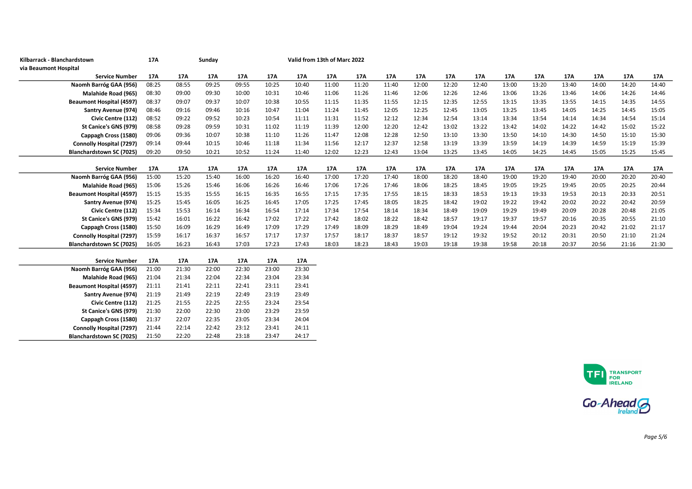| Kilbarrack - Blanchardstown     | 17A   |       | Sunday |       |       |       | Valid from 13th of Marc 2022 |       |       |       |       |       |       |       |       |       |       |       |
|---------------------------------|-------|-------|--------|-------|-------|-------|------------------------------|-------|-------|-------|-------|-------|-------|-------|-------|-------|-------|-------|
| via Beaumont Hospital           |       |       |        |       |       |       |                              |       |       |       |       |       |       |       |       |       |       |       |
| <b>Service Number</b>           | 17A   | 17A   | 17A    | 17A   | 17A   | 17A   | 17A                          | 17A   | 17A   | 17A   | 17A   | 17A   | 17A   | 17A   | 17A   | 17A   | 17A   | 17A   |
| Naomh Barróg GAA (956)          | 08:25 | 08:55 | 09:25  | 09:55 | 10:25 | 10:40 | 11:00                        | 11:20 | 11:40 | 12:00 | 12:20 | 12:40 | 13:00 | 13:20 | 13:40 | 14:00 | 14:20 | 14:40 |
| Malahide Road (965)             | 08:30 | 09:00 | 09:30  | 10:00 | 10:31 | 10:46 | 11:06                        | 11:26 | 11:46 | 12:06 | 12:26 | 12:46 | 13:06 | 13:26 | 13:46 | 14:06 | 14:26 | 14:46 |
| <b>Beaumont Hospital (4597)</b> | 08:37 | 09:07 | 09:37  | 10:07 | 10:38 | 10:55 | 11:15                        | 11:35 | 11:55 | 12:15 | 12:35 | 12:55 | 13:15 | 13:35 | 13:55 | 14:15 | 14:35 | 14:55 |
| Santry Avenue (974)             | 08:46 | 09:16 | 09:46  | 10:16 | 10:47 | 11:04 | 11:24                        | 11:45 | 12:05 | 12:25 | 12:45 | 13:05 | 13:25 | 13:45 | 14:05 | 14:25 | 14:45 | 15:05 |
| Civic Centre (112)              | 08:52 | 09:22 | 09:52  | 10:23 | 10:54 | 11:11 | 11:31                        | 11:52 | 12:12 | 12:34 | 12:54 | 13:14 | 13:34 | 13:54 | 14:14 | 14:34 | 14:54 | 15:14 |
| St Canice's GNS (979)           | 08:58 | 09:28 | 09:59  | 10:31 | 11:02 | 11:19 | 11:39                        | 12:00 | 12:20 | 12:42 | 13:02 | 13:22 | 13:42 | 14:02 | 14:22 | 14:42 | 15:02 | 15:22 |
| Cappagh Cross (1580)            | 09:06 | 09:36 | 10:07  | 10:38 | 11:10 | 11:26 | 11:47                        | 12:08 | 12:28 | 12:50 | 13:10 | 13:30 | 13:50 | 14:10 | 14:30 | 14:50 | 15:10 | 15:30 |
| Connolly Hospital (7297)        | 09:14 | 09:44 | 10:15  | 10:46 | 11:18 | 11:34 | 11:56                        | 12:17 | 12:37 | 12:58 | 13:19 | 13:39 | 13:59 | 14:19 | 14:39 | 14:59 | 15:19 | 15:39 |
| <b>Blanchardstown SC (7025)</b> | 09:20 | 09:50 | 10:21  | 10:52 | 11:24 | 11:40 | 12:02                        | 12:23 | 12:43 | 13:04 | 13:25 | 13:45 | 14:05 | 14:25 | 14:45 | 15:05 | 15:25 | 15:45 |
|                                 |       |       |        |       |       |       |                              |       |       |       |       |       |       |       |       |       |       |       |
| <b>Service Number</b>           | 17A   | 17A   | 17A    | 17A   | 17A   | 17A   | 17A                          | 17A   | 17A   | 17A   | 17A   | 17A   | 17A   | 17A   | 17A   | 17A   | 17A   | 17A   |
| Naomh Barróg GAA (956)          | 15:00 | 15:20 | 15:40  | 16:00 | 16:20 | 16:40 | 17:00                        | 17:20 | 17:40 | 18:00 | 18:20 | 18:40 | 19:00 | 19:20 | 19:40 | 20:00 | 20:20 | 20:40 |
| Malahide Road (965)             | 15:06 | 15:26 | 15:46  | 16:06 | 16:26 | 16:46 | 17:06                        | 17:26 | 17:46 | 18:06 | 18:25 | 18:45 | 19:05 | 19:25 | 19:45 | 20:05 | 20:25 | 20:44 |
| <b>Beaumont Hospital (4597)</b> | 15:15 | 15:35 | 15:55  | 16:15 | 16:35 | 16:55 | 17:15                        | 17:35 | 17:55 | 18:15 | 18:33 | 18:53 | 19:13 | 19:33 | 19:53 | 20:13 | 20:33 | 20:51 |
| Santry Avenue (974)             | 15:25 | 15:45 | 16:05  | 16:25 | 16:45 | 17:05 | 17:25                        | 17:45 | 18:05 | 18:25 | 18:42 | 19:02 | 19:22 | 19:42 | 20:02 | 20:22 | 20:42 | 20:59 |
| Civic Centre (112)              | 15:34 | 15:53 | 16:14  | 16:34 | 16:54 | 17:14 | 17:34                        | 17:54 | 18:14 | 18:34 | 18:49 | 19:09 | 19:29 | 19:49 | 20:09 | 20:28 | 20:48 | 21:05 |
| St Canice's GNS (979)           | 15:42 | 16:01 | 16:22  | 16:42 | 17:02 | 17:22 | 17:42                        | 18:02 | 18:22 | 18:42 | 18:57 | 19:17 | 19:37 | 19:57 | 20:16 | 20:35 | 20:55 | 21:10 |
| Cappagh Cross (1580)            | 15:50 | 16:09 | 16:29  | 16:49 | 17:09 | 17:29 | 17:49                        | 18:09 | 18:29 | 18:49 | 19:04 | 19:24 | 19:44 | 20:04 | 20:23 | 20:42 | 21:02 | 21:17 |
| Connolly Hospital (7297)        | 15:59 | 16:17 | 16:37  | 16:57 | 17:17 | 17:37 | 17:57                        | 18:17 | 18:37 | 18:57 | 19:12 | 19:32 | 19:52 | 20:12 | 20:31 | 20:50 | 21:10 | 21:24 |
| Blanchardstown SC (7025)        | 16:05 | 16:23 | 16:43  | 17:03 | 17:23 | 17:43 | 18:03                        | 18:23 | 18:43 | 19:03 | 19:18 | 19:38 | 19:58 | 20:18 | 20:37 | 20:56 | 21:16 | 21:30 |
|                                 |       |       |        |       |       |       |                              |       |       |       |       |       |       |       |       |       |       |       |
| <b>Service Number</b>           | 17A   | 17A   | 17A    | 17A   | 17A   | 17A   |                              |       |       |       |       |       |       |       |       |       |       |       |
| Naomh Barróg GAA (956)          | 21:00 | 21:30 | 22:00  | 22:30 | 23:00 | 23:30 |                              |       |       |       |       |       |       |       |       |       |       |       |
| Malahide Road (965)             | 21:04 | 21:34 | 22:04  | 22:34 | 23:04 | 23:34 |                              |       |       |       |       |       |       |       |       |       |       |       |
| <b>Beaumont Hospital (4597)</b> | 21:11 | 21:41 | 22:11  | 22:41 | 23:11 | 23:41 |                              |       |       |       |       |       |       |       |       |       |       |       |
| Santry Avenue (974)             | 21:19 | 21:49 | 22:19  | 22:49 | 23:19 | 23:49 |                              |       |       |       |       |       |       |       |       |       |       |       |
| Civic Centre (112)              | 21:25 | 21:55 | 22:25  | 22:55 | 23:24 | 23:54 |                              |       |       |       |       |       |       |       |       |       |       |       |
| St Canice's GNS (979)           | 21:30 | 22:00 | 22:30  | 23:00 | 23:29 | 23:59 |                              |       |       |       |       |       |       |       |       |       |       |       |

Cappagh Cross (1580) 21:37 22:07 22:35 23:05 23:34 24:04<br>2010 Parolly Hospital (7297) 21:44 22:14 22:42 23:12 23:41 24:11 Connolly Hospital (7297) 21:44 22:14 22:42 23:12 23:41 24:11

Blanchardstown SC (7025)